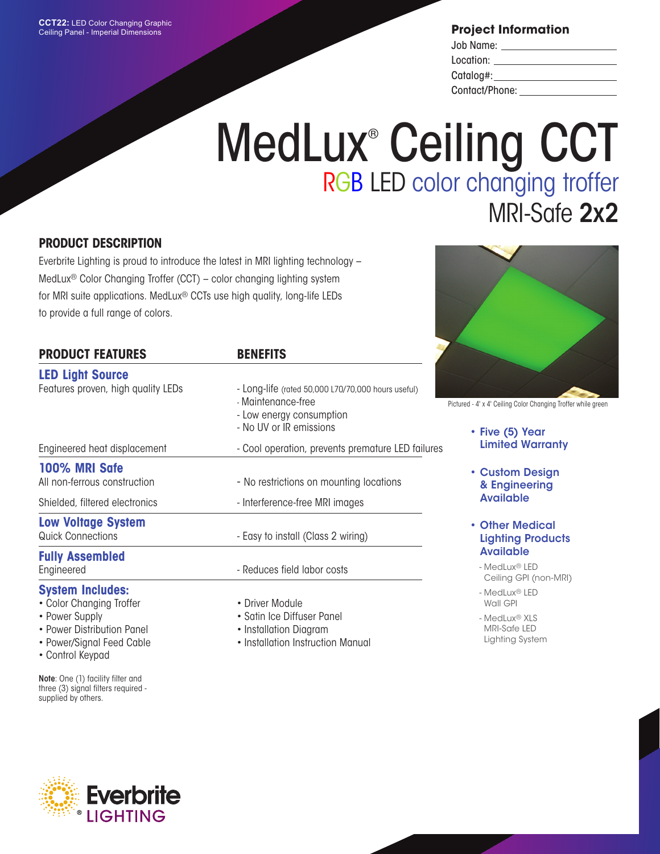**Project Information**

| Job Name:      |  |
|----------------|--|
| Location:      |  |
| Catalog#:      |  |
| Contact/Phone: |  |

## MedLux<sup>®</sup> Ceiling CCT RGB LED color changing troffer MRI-Safe 2x2

## **PRODUCT DESCRIPTION**

Everbrite Lighting is proud to introduce the latest in MRI lighting technology – MedLux® Color Changing Troffer (CCT) – color changing lighting system for MRI suite applications. MedLux® CCTs use high quality, long-life LEDs to provide a full range of colors.

| <b>PRODUCT FEATURES</b>            | <b>BENEFITS</b>                                                                                                                 |
|------------------------------------|---------------------------------------------------------------------------------------------------------------------------------|
| <b>LED Light Source</b>            |                                                                                                                                 |
| Features proven, high quality LEDs | - Long-life (rated 50,000 L70/70,000 hours useful)<br>- Maintenance-free<br>- Low energy consumption<br>- No UV or IR emissions |
| Engineered heat displacement       | - Cool operation, prevents premature LED failures                                                                               |
| 100% MRI Safe                      |                                                                                                                                 |
| All non-ferrous construction       | - No restrictions on mounting locations                                                                                         |
| Shielded, filtered electronics     | - Interference-free MRI images                                                                                                  |
| <b>Low Voltage System</b>          |                                                                                                                                 |
| <b>Quick Connections</b>           | - Easy to install (Class 2 wiring)                                                                                              |
| <b>Fully Assembled</b>             |                                                                                                                                 |
| Engineered                         | - Reduces field labor costs                                                                                                     |
| System Includes:                   |                                                                                                                                 |

## **System Includes:**

- Color Changing Troffer
- Power Supply
- Power Distribution Panel
- Power/Signal Feed Cable
- Control Keypad

Note: One (1) facility filter and three (3) signal filters required supplied by others.

- Driver Module
- Satin Ice Diffuser Panel
- Installation Diagram
- Installation Instruction Manual



Pictured - 4' x 4' Ceiling Color Changing Troffer while green

- Five (5) Year Limited Warranty
- Custom Design & Engineering Available
- Other Medical Lighting Products Available
	- MedLux® LED Ceiling GPI (non-MRI)
	- MedLux® LED Wall GPI
	- MedLux® XLS MRI-Safe LED Lighting System